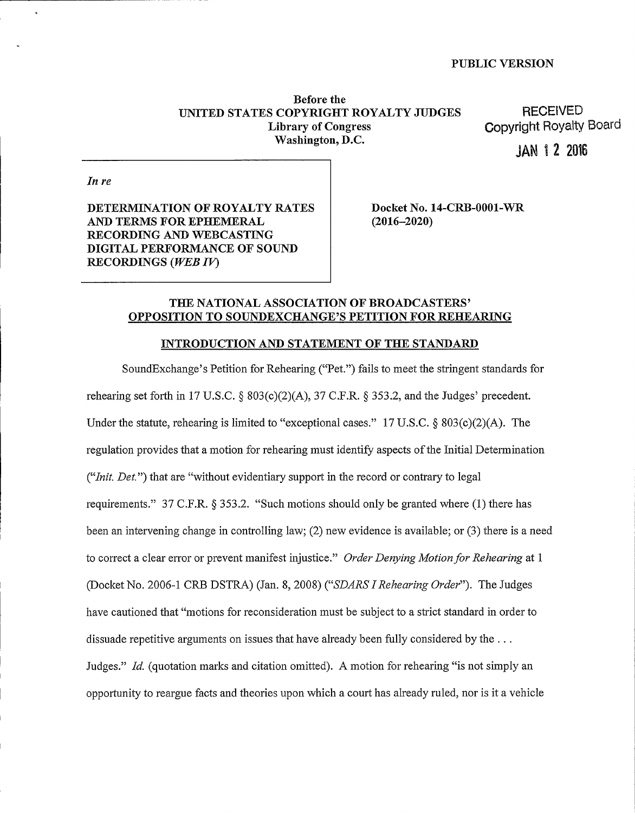Before the UNITED STATES COPYRIGHT ROYALTY JUDGES Library of Congress Washington, D.C.

**RECEIVED** Copyright Royalty Board

JAN 1 2 2016

In re

DETERMINATION OF ROYALTY RATES AND TERMS FOR EPHEMERAL RECORDING AND WEBCASTING DIGITAL PERFORMANCE OF SOUND RECORDINGS (WEB IV)

Docket No. 14-CRB-0001-WR (2016-2020)

# THE NATIONAL ASSOCIATION OF BROADCASTERS' TO SOUNDEXCHANGE'S PETITION FOR REHEARING

## INTRODUCTION AND STATEMENT OF THE STANDARD

SoundExchange's Petition for Rehearing ("Pet.") fails to meet the stringent standards for rehearing set forth in 17 U.S.C.  $\S 803(c)(2)(A)$ , 37 C.F.R.  $\S 353.2$ , and the Judges' precedent. Under the statute, rehearing is limited to "exceptional cases." 17 U.S.C.  $\delta$  803(c)(2)(A). The regulation provides that a motion for rehearing must identify aspects ofthe Initial Determination ("Init. Det.") that are "without evidentiary support in the record or contrary to legal requirements." 37 C.F.R. \$ 353.2. "Such motions should only be granted where (1) there has been an intervening change in controlling law; (2) new evidence is available; or (3) there is a need to correct a clear error or prevent manifest injustice." Order Denying Motion for Rehearing at 1 (Docket No. 2006-1 CRB DSTRA) (Jan. 8, 2008) ("SDARS I Rehearing Order"). The Judges have cautioned that "motions for reconsideration must be subject to a strict standard in order to dissuade repetitive arguments on issues that have already been fully considered by the... Judges." Id. (quotation marks and citation omitted). A motion for rehearing "is not simply an opportunity to reargue facts and theories upon which a court has already ruled, nor is it a vehicle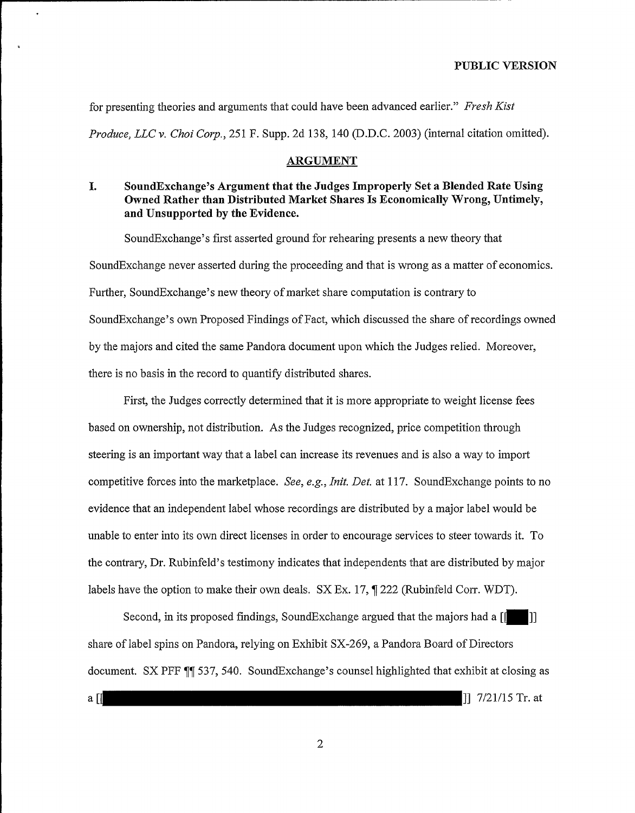for presenting theories and arguments that could have been advanced earlier." Fresh Kist Produce, LLC v. Choi Corp., 251 F. Supp. 2d 138, 140 (D.D.C. 2003) (internal citation omitted).

## ARGUMENT

# I. SoundExchange's Argument that the Judges Improperly Set a Blended Rate Using Owned Rather than Distributed Market Shares Is Economically Wrong, Untimely, and Unsupported by the Evidence.

SoundExchange's first asserted ground for rehearing presents a new theory that SoundExchange never asserted during the proceeding and that is wrong as a matter of economics. Further, SoundExchange's new theory of market share computation is contrary to SoundExchange's own Proposed Findings of Fact, which discussed the share of recordings owned by the majors and cited the same Pandora document upon which the Judges relied. Moreover, there is no basis in the record to quantify distributed shares.

First, the Judges correctly determined that it is more appropriate to weight license fees based on ownership, not distribution. As the Judges recognized, price competition through steering is an important way that a label can increase its revenues and is also a way to import competitive forces into the marketplace. See, e.g., Init. Det. at 117. SoundExchange points to no evidence that an independent label whose recordings are distributed by a major label would be unable to enter into its own direct licenses in order to encourage services to steer towards it. To the contrary, Dr. Rubinfeld's testimony indicates that independents that are distributed by major labels have the option to make their own deals.  $SX Ex. 17, \text{J} 222$  (Rubinfeld Corr. WDT).

Second, in its proposed findings, SoundExchange argued that the majors had a  $[[ \ ] ]$ share oflabel spins on Pandora, relying on Exhibit SX-269, a Pandora Board of Directors document. SX PFF  $\P$  537, 540. SoundExchange's counsel highlighted that exhibit at closing as a  $\begin{bmatrix} 1 & 7/21/15 \text{ Tr. at } \end{bmatrix}$ 

 $\overline{2}$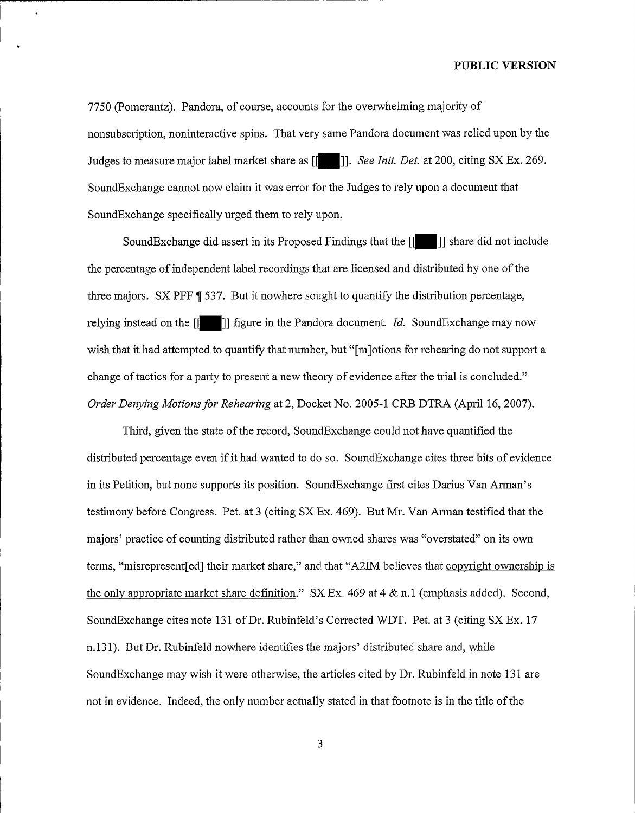7750 (Pomerantz). Pandora, of course, accounts for the overwhelming majority of nonsubscription, noninteractive spins. That very same Pandora document was relied upon by the Judges to measure major label market share as  $\begin{bmatrix} \cdot \\ \cdot \end{bmatrix}$ . See Init. Det. at 200, citing SX Ex. 269. SoundExchange cannot now claim it was error for the Judges to rely upon a document that SoundExchange specifically urged them to rely upon.

SoundExchange did assert in its Proposed Findings that the  $\begin{bmatrix} 1 \\ 1 \end{bmatrix}$  share did not include the percentage of independent label recordings that are licensed and distributed by one of the three majors. SX PFF  $\parallel$  537. But it nowhere sought to quantify the distribution percentage, relying instead on the  $\begin{bmatrix} 1 \\ 1 \end{bmatrix}$  figure in the Pandora document. *Id.* SoundExchange may now wish that it had attempted to quantify that number, but "[m]otions for rehearing do not support a change of tactics for a party to present a new theory of evidence after the trial is concluded." Order Denying Motions for Rehearing at 2, Docket No. 2005-1 CRB DTRA (April 16, 2007).

Third, given the state of the record, SoundExchange could not have quantified the distributed percentage even ifit had wanted to do so. SoundExchange cites three bits of evidence in its Petition, but none supports its position. SoundExchange first cites Darius Van Arman's testimony before Congress. Pet. at 3 (citing SX Ex. 469). But Mr. Van Arman testified that the majors' practice of counting distributed rather than owned shares was "overstated" on its own terms, "misrepresent [ed] their market share," and that "A2IM believes that copyright ownership is the only appropriate market share definition."  $SX Ex. 469$  at 4  $\&$  n.1 (emphasis added). Second, SoundExchange cites note 131 of Dr. Rubinfeld's Corrected WDT. Pet. at <sup>3</sup> (citing SX Ex. 17 n.131). But Dr. Rubinfeld nowhere identifies the majors' distributed share and, while SoundExchange may wish it were otherwise, the articles cited by Dr. Rubinfeld in note 131 are not in evidence. Indeed, the only number actually stated in that footnote is in the title of the

3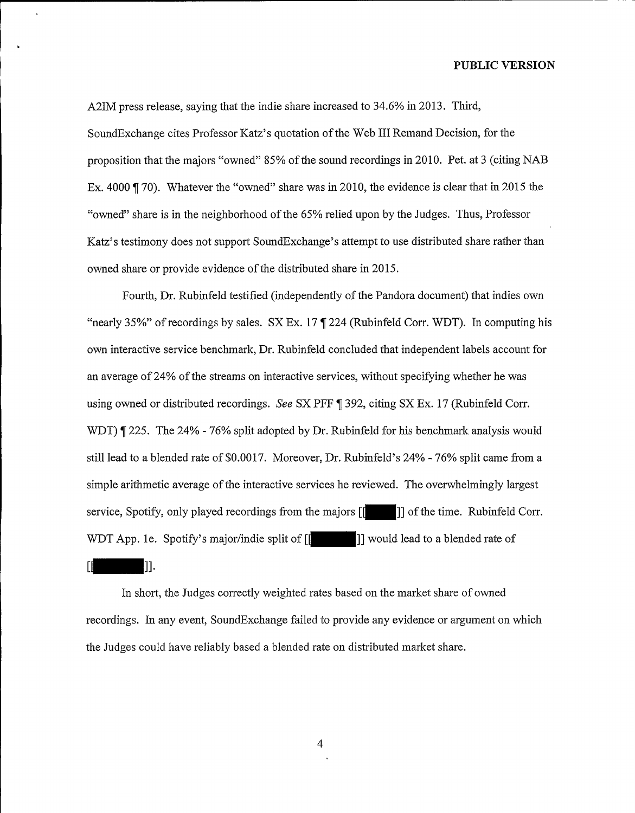A2IM press release, saying that the indie share increased to 34.6% in 2013. Third, SoundExchange cites Professor Katz's quotation of the Web III Remand Decision, for the proposition that the majors "owned" 85% of the sound recordings in 2010. Pet. at 3 (citing NAB Ex. 4000  $\parallel$  70). Whatever the "owned" share was in 2010, the evidence is clear that in 2015 the "owned" share is in the neighborhood ofthe 65% relied upon by the Judges. Thus, Professor Katz's testimony does not support SoundExchange's attempt to use distributed share rather than owned share or provide evidence of the distributed share in 2015.

Fourth, Dr. Rubinfeld testified (independently of the Pandora document) that indies own "nearly 35%" of recordings by sales.  $SX Ex. 17$  T 224 (Rubinfeld Corr. WDT). In computing his own interactive service benchmark, Dr. Rubinfeld concluded that independent labels account for an average of 24% of the streams on interactive services, without specifying whether he was using owned or distributed recordings. See SX PFF  $\parallel$  392, citing SX Ex. 17 (Rubinfeld Corr. WDT)  $\parallel$  225. The 24% - 76% split adopted by Dr. Rubinfeld for his benchmark analysis would still lead to a blended rate of \$0.0017. Moreover, Dr. Rubinfeld's 24% - 76% split came from a simple arithmetic average of the interactive services he reviewed. The overwhelmingly largest service, Spotify, only played recordings from the majors  $\begin{bmatrix} 1 \\ 1 \end{bmatrix}$  of the time. Rubinfeld Corr. WDT App. 1e. Spotify's major/indie split of  $\left[\begin{matrix} \cdot & \cdot & \cdot \\ \cdot & \cdot & \cdot \\ \cdot & \cdot & \cdot \end{matrix}\right]$  would lead to a blended rate of ГÍ  $\mathbf{II}$ .

In short, the Judges correctly weighted rates based on the market share of owned recordings. In any event, SoundExchange failed to provide any evidence or argument on which the Judges could have reliably based a blended rate on distributed market share.

 $\overline{4}$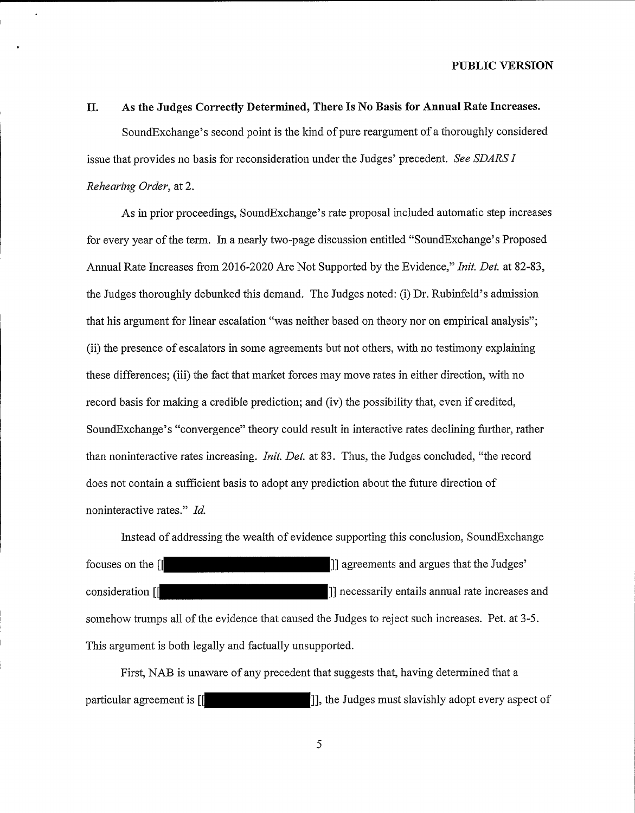#### II. As the Judges Correctly Determined, There Is No Basis for Annual Rate Increases.

SoundExchange's second point is the kind of pure reargument of a thoroughly considered issue that provides no basis for reconsideration under the Judges' precedent. See SDARS I Rehearing Order, at 2.

As in prior proceedings, SoundExchange's rate proposal included automatic step increases for every year of the term. In a nearly two-page discussion entitled "SoundExchange's Proposed Annual Rate Increases from 2016-2020 Are Not Supported by the Evidence," *Init. Det.* at 82-83, the Judges thoroughly debunked this demand. The Judges noted: (i) Dr. Rubinfeld's admission that his argument for linear escalation "was neither based on theory nor on empirical analysis"; (ii) the presence of escalators in some agreements but not others, with no testimony explaining these differences; (iii) the fact that market forces may move rates in either direction, with no record basis for making a credible prediction; and (iv) the possibility that, even if credited, SoundExchange's "convergence" theory could result in interactive rates declining further, rather than noninteractive rates increasing. *Init. Det.* at 83. Thus, the Judges concluded, "the record does not contain a sufficient basis to adopt any prediction about the future direction of noninteractive rates." Id.

Instead of addressing the wealth of evidence supporting this conclusion, SoundExchange focuses on the [ consideration [ ]] agreements and argues that the<br>|] necessarily entails annual rate ir necessarily entails annual rate increases and somehow trumps all of the evidence that caused the Judges to reject such increases. Pet. at 3-5. This argument is both legally and factually unsupported.

First, NAB is unaware of any precedent that suggests that, having determined that a particular agreement is  $\begin{bmatrix} 1 & 1 \end{bmatrix}$ , the Judges must slavishly adopt every aspect of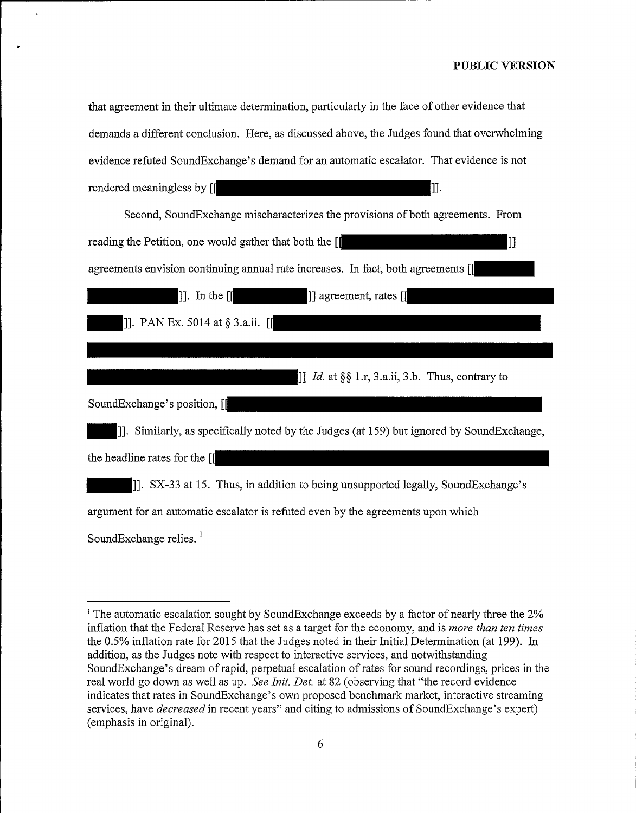| that agreement in their ultimate determination, particularly in the face of other evidence that |
|-------------------------------------------------------------------------------------------------|
| demands a different conclusion. Here, as discussed above, the Judges found that overwhelming    |
| evidence refuted SoundExchange's demand for an automatic escalator. That evidence is not        |
| rendered meaningless by [<br> ]].                                                               |
| Second, Sound Exchange mischaracterizes the provisions of both agreements. From                 |
| reading the Petition, one would gather that both the [[<br> ]]                                  |
| agreements envision continuing annual rate increases. In fact, both agreements [[               |
| ]] agreement, rates [[<br>$\left  \cdot \right $ . In the $\left[ \cdot \right]$                |
| []]. PAN Ex. 5014 at § 3.a.ii. [[                                                               |
|                                                                                                 |
| [] Id. at $\S\S 1.r$ , 3.a.ii, 3.b. Thus, contrary to                                           |
| SoundExchange's position, [[                                                                    |
| [J]. Similarly, as specifically noted by the Judges (at 159) but ignored by SoundExchange,      |
| the headline rates for the [                                                                    |
| [J]. SX-33 at 15. Thus, in addition to being unsupported legally, SoundExchange's               |
| argument for an automatic escalator is refuted even by the agreements upon which                |
|                                                                                                 |

SoundExchange relies. '

<sup>&</sup>lt;sup>1</sup> The automatic escalation sought by SoundExchange exceeds by a factor of nearly three the 2% inflation that the Federal Reserve has set as a target for the economy, and is more than ten times the 0.5% inflation rate for 2015 that the Judges noted in their Initial Determination (at 199). In addition, as the Judges note with respect to interactive services, and notwithstanding SoundExchange's dream ofrapid, perpetual escalation ofrates for sound recordings, prices in the real world go down as well as up. See Init. Det. at 82 (observing that "the record evidence indicates that rates in SoundExchange's own proposed benchmark market, interactive streaming services, have *decreased* in recent years" and citing to admissions of SoundExchange's expert) (emphasis in original).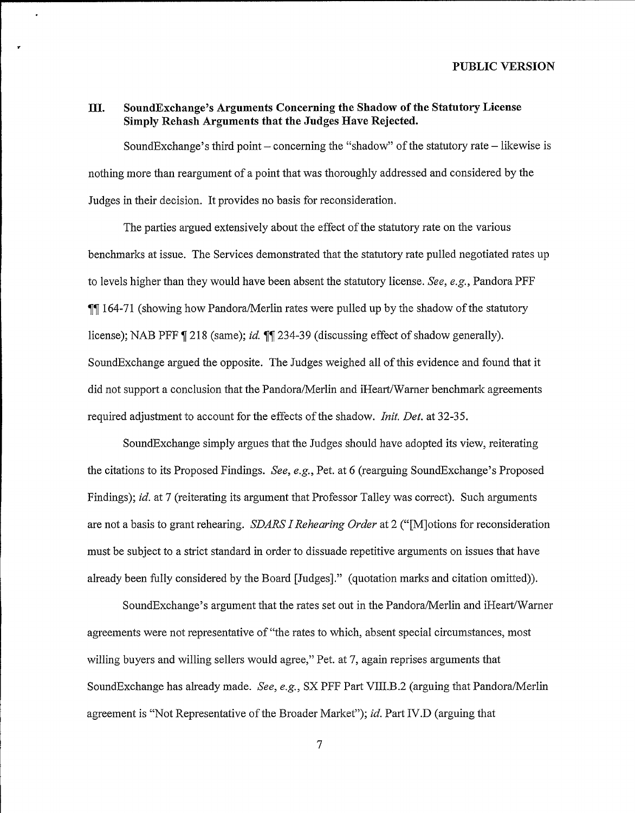# III. SoundExchange's Arguments Concerning the Shadow ofthe Statutory License Simply Rehash Arguments that the Judges Have Rejected.

SoundExchange's third point  $-$  concerning the "shadow" of the statutory rate  $-$  likewise is nothing more than reargument of a point that was thoroughly addressed and considered by the Judges in their decision. It provides no basis for reconsideration.

The parties argued extensively about the effect of the statutory rate on the various benchmarks at issue. The Services demonstrated that the statutory rate pulled negotiated rates up to levels higher than they would have been absent the statutory license. See, e.g., Pandora PFF **1164-71** (showing how Pandora/Merlin rates were pulled up by the shadow of the statutory license); NAB PFF ¶ 218 (same); *id*. ¶¶ 234-39 (discussing effect of shadow generally). SoundExchange argued the opposite. The Judges weighed all ofthis evidence and found that it did not support a conclusion that the Pandora/Merlin and iHeart/Warner benchmark agreements required adjustment to account for the effects of the shadow. Init. Det. at 32-35.

SoundExchange simply argues that the Judges should have adopted its view, reiterating the citations to its Proposed Findings. See, e.g., Pet. at 6 (rearguing SoundExchange's Proposed Findings); *id.* at 7 (reiterating its argument that Professor Talley was correct). Such arguments are not a basis to grant rehearing. SDARS I Rehearing Order at 2 ("[M]otions for reconsideration must be subject to a strict standard in order to dissuade repetitive arguments on issues that have already been fully considered by the Board [Judgesj." (quotation marks and citation omitted)).

SoundExchange's argument that the rates set out in the Pandora/Merlin and iHeart/Warner agreements were not representative of "the rates to which, absent special circumstances, most willing buyers and willing sellers would agree," Pet. at 7, again reprises arguments that SoundExchange has already made. See, e.g., SX PFF Part VIII.B.2 (arguing that Pandora/Merlin agreement is "Not Representative of the Broader Market"); id. Part IV.D (arguing that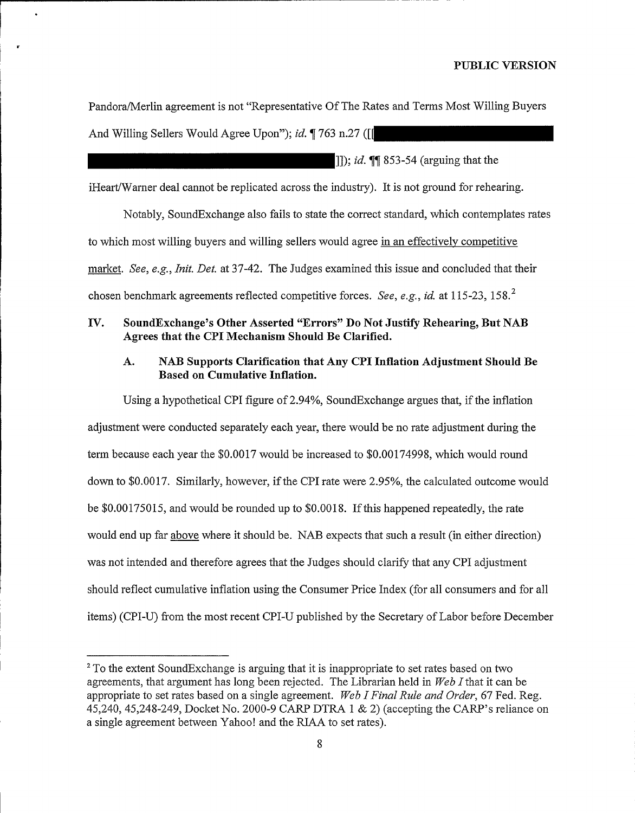Pandora/Merlin agreement is not "Representative OfThe Rates and Terms Most Willing Buyers

And Willing Sellers Would Agree Upon"); id. 1763 n.27 ([1]

]]); *id*.  $\P$  853-54 (arguing that the

iHeart/Warner deal cannot be replicated across the industry). It is not ground for rehearing.

Notably, SoundExchange also fails to state the correct standard, which contemplates rates to which most willing buyers and willing sellers would agree in an effectively competitive market. See, e.g., *Init. Det.* at 37-42. The Judges examined this issue and concluded that their chosen benchmark agreements reflected competitive forces. See, e.g., id. at 115-23, 158.<sup>2</sup>

# IV. SoundExchange's Other Asserted "Errors" Do Not Justify Rehearing, But NAB Agrees that the CPI Mechanism Should Be Clarified.

# A. NAB Supports Clarification that Any CPI Inflation Adjustment Should Be Based on Cumulative Inflation.

Using a hypothetical CPI figure of 2.94%, SoundExchange argues that, if the inflation adjustment were conducted separately each year, there would be no rate adjustment during the term because each year the \$0.0017 would be increased to \$0.00174998, which would round down to \$0.0017. Similarly, however, if the CPI rate were 2.95%, the calculated outcome would be \$0.00175015, and would be rounded up to \$0.0018. Ifthis happened repeatedly, the rate would end up far above where it should be. NAB expects that such a result (in either direction) was not intended and therefore agrees that the Judges should clarify that any CPI adjustment should reflect cumulative inflation using the Consumer Price Index (for all consumers and for all items) (CPI-U) from the most recent CPI-U published by the Secretary of Labor before December

<sup>&</sup>lt;sup>2</sup> To the extent SoundExchange is arguing that it is inappropriate to set rates based on two agreements, that argument has long been rejected. The Librarian held in  $Web I$  that it can be appropriate to set rates based on a single agreement. Web I Final Rule and Order, 67 Fed. Reg. 45,240, 45,248-249, Docket No. 2000-9 CARP DTRA <sup>1</sup> & 2) (accepting the CARP's reliance on a single agreement between Yahoo! and the RIAA to set rates).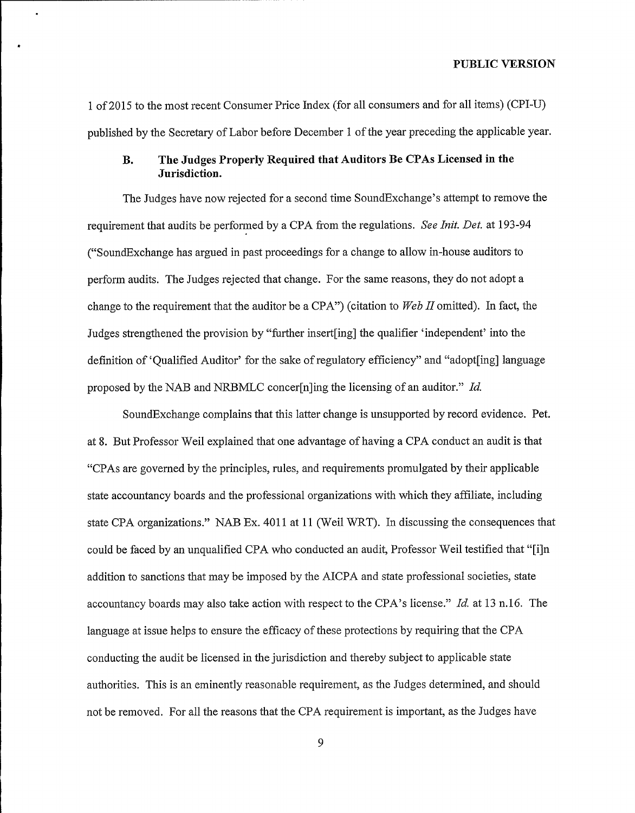<sup>1</sup> of 2015 to the most recent Consumer Price Index (for all consumers and for all items) (CPI-U) published by the Secretary of Labor before December 1 of the year preceding the applicable year.

# B. The Judges Properly Required that Auditors Be CPAs Licensed in the Jurisdiction.

The Judges have now rejected for a second time SoundExchange's attempt to remove the requirement that audits be performed by a CPA from the regulations. See Init. Det. at 193-94 ("SoundExchange has argued in past proceedings for a change to allow in-house auditors to perform audits. The Judges rejected that change. For the same reasons, they do not adopt a change to the requirement that the auditor be a CPA") (citation to  $Web\ II$  omitted). In fact, the Judges strengthened the provision by "further insert [ing] the qualifier 'independent' into the definition of 'Oualified Auditor' for the sake of regulatory efficiency" and "adopt [ing] language proposed by the NAB and NRBMLC concer[n]ing the licensing of an auditor." Id.

SoundExchange complains that this latter change is unsupported by record evidence. Pet. at 8. But Professor Weil explained that one advantage of having a CPA conduct an audit is that "CPAs are governed by the principles, rules, and requirements promulgated by their applicable state accountancy boards and the professional organizations with which they affiliate, including state CPA organizations." NAB Ex. 4011 at 11 (Weil WRT). In discussing the consequences that could be faced by an unqualified CPA who conducted an audit, Professor Weil testified that "[i]n addition to sanctions that may be imposed by the AICPA and state professional societies, state accountancy boards may also take action with respect to the CPA's license." Id. at <sup>13</sup> n.16. The language at issue helps to ensure the efficacy of these protections by requiring that the CPA conducting the audit be licensed in the jurisdiction and thereby subject to applicable state authorities. This is an eminently reasonable requirement, as the Judges determined, and should not be removed. For all the reasons that the CPA requirement is important, as the Judges have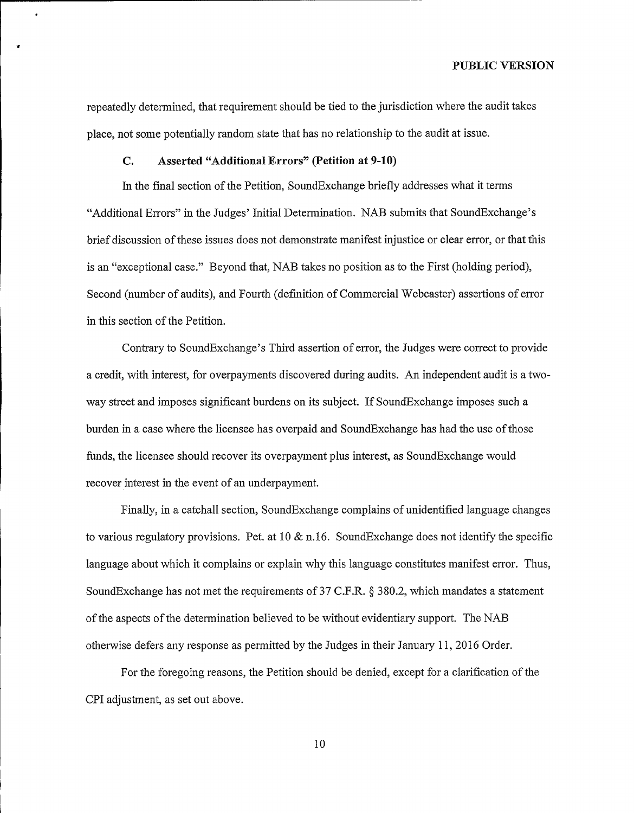repeatedly determined, that requirement should be tied to the jurisdiction where the audit takes place, not some potentially random state that has no relationship to the audit at issue.

## C. Asserted "Additional Errors" (Petition at 9-10)

In the final section of the Petition, SoundExchange briefly addresses what it terms "Additional Errors" in the Judges' Initial Determination. NAB submits that SoundExchange's brief discussion ofthese issues does not demonstrate manifest injustice or clear error, or that this is an "exceptional case." Beyond that, NAB takes no position as to the First (holding period), Second (number of audits), and Fourth (definition of Commercial Webcaster) assertions of error in this section of the Petition.

Contrary to SoundExchange's Third assertion of error, the Judges were correct to provide a credit, with interest, for overpayments discovered during audits. An independent audit is a twoway street and imposes significant burdens on its subject. If SoundExchange imposes such a burden in a case where the licensee has overpaid and SoundExchange has had the use of those funds, the licensee should recover its overpayment plus interest, as SoundExchange would recover interest in the event of an underpayment.

Finally, in a catchall section, SoundExchange complains of unidentified language changes to various regulatory provisions. Pet. at 10  $\&$  n.16. SoundExchange does not identify the specific language about which it complains or explain why this language constitutes manifest error. Thus, SoundExchange has not met the requirements of 37 C.F.R. \$ 380.2, which mandates a statement ofthe aspects ofthe determination believed to be without evidentiary support. The NAB otherwise defers any response as permitted by the Judges in their January 11, 2016 Order.

For the foregoing reasons, the Petition should be denied, except for a clarification of the CPI adjustment, as set out above.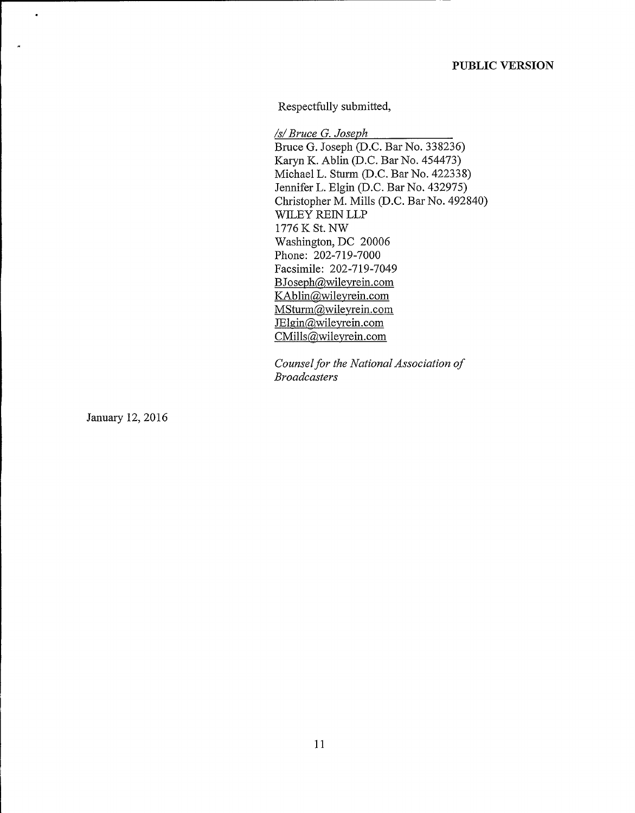Respectfully submitted,

/s/ Bruce G. Joseph Bruce 6. Joseph (D.C. Bar No. 338236) Karyn K. Ablin (D.C. Bar No. 454473) Michael L. Sturm (D.C. Bar No. 422338) Jennifer L. Elgin (D.C. Bar No. 432975) Christopher M. Mills (D.C. Bar No. 492840) WILEY REIN LLP 1776 K St. NW Washington, DC 20006 Phone: 202-719-7000 Facsimile: 202-719-7049 BJoseph@wileyrein.com KAblin@wileyrein.com MSturm@wileyrein.com<br>JElgin@wileyrein.com CMills@wileyrein.com

Counsel for the National Association of Broadcasters

January 12, 2016

 $\bullet$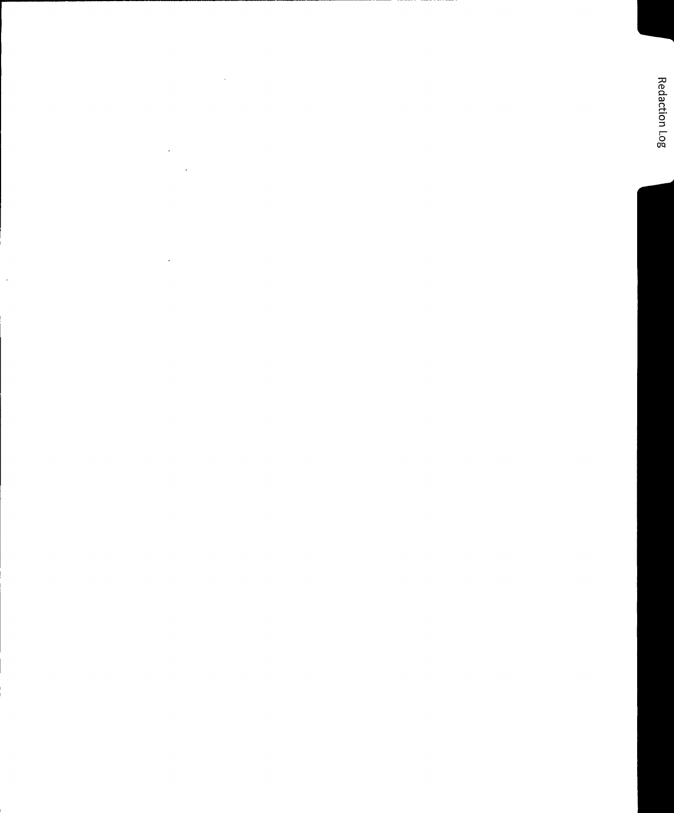$\label{eq:2} \frac{1}{\sqrt{2}}\sum_{i=1}^n\frac{1}{\sqrt{2}}\sum_{i=1}^n\frac{1}{\sqrt{2}}\sum_{i=1}^n\frac{1}{\sqrt{2}}\sum_{i=1}^n\frac{1}{\sqrt{2}}\sum_{i=1}^n\frac{1}{\sqrt{2}}\sum_{i=1}^n\frac{1}{\sqrt{2}}\sum_{i=1}^n\frac{1}{\sqrt{2}}\sum_{i=1}^n\frac{1}{\sqrt{2}}\sum_{i=1}^n\frac{1}{\sqrt{2}}\sum_{i=1}^n\frac{1}{\sqrt{2}}\sum_{i=1}^n\frac{1$ 

J.

 $\cdot$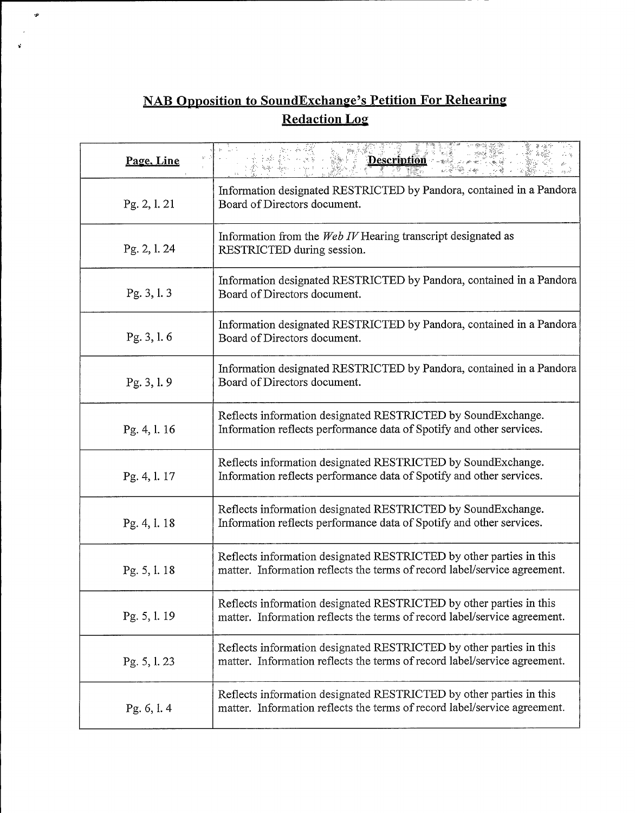# NAB Opposition to SoundExchange's Petition For Rehearing Redaction Los

 $\boldsymbol{\dot{\mathbf{y}}}$ 

| Page, Line   | <b>Description</b>                                                                                                                               |
|--------------|--------------------------------------------------------------------------------------------------------------------------------------------------|
| Pg. 2, 1. 21 | Information designated RESTRICTED by Pandora, contained in a Pandora<br>Board of Directors document.                                             |
| Pg. 2, l. 24 | Information from the Web IV Hearing transcript designated as<br>RESTRICTED during session.                                                       |
| Pg. 3, 1.3   | Information designated RESTRICTED by Pandora, contained in a Pandora<br>Board of Directors document.                                             |
| Pg. 3, 1.6   | Information designated RESTRICTED by Pandora, contained in a Pandora<br>Board of Directors document.                                             |
| Pg. 3, 1.9   | Information designated RESTRICTED by Pandora, contained in a Pandora<br>Board of Directors document.                                             |
| Pg. 4, 1. 16 | Reflects information designated RESTRICTED by SoundExchange.<br>Information reflects performance data of Spotify and other services.             |
| Pg. 4, 1. 17 | Reflects information designated RESTRICTED by SoundExchange.<br>Information reflects performance data of Spotify and other services.             |
| Pg. 4, 1. 18 | Reflects information designated RESTRICTED by SoundExchange.<br>Information reflects performance data of Spotify and other services.             |
| Pg. 5, l. 18 | Reflects information designated RESTRICTED by other parties in this<br>matter. Information reflects the terms of record label/service agreement. |
| Pg. 5, 1.19  | Reflects information designated RESTRICTED by other parties in this<br>matter. Information reflects the terms of record label/service agreement. |
| Pg. 5, 1. 23 | Reflects information designated RESTRICTED by other parties in this<br>matter. Information reflects the terms of record label/service agreement. |
| Pg. 6, l. 4  | Reflects information designated RESTRICTED by other parties in this<br>matter. Information reflects the terms of record label/service agreement. |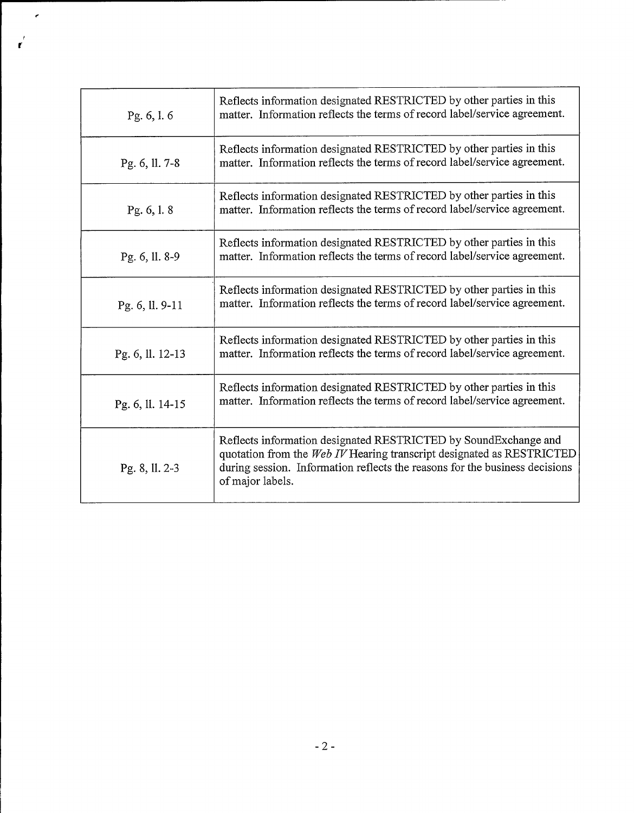| Pg. 6, l. 6      | Reflects information designated RESTRICTED by other parties in this<br>matter. Information reflects the terms of record label/service agreement.                                                                                            |
|------------------|---------------------------------------------------------------------------------------------------------------------------------------------------------------------------------------------------------------------------------------------|
| Pg. 6, ll. 7-8   | Reflects information designated RESTRICTED by other parties in this<br>matter. Information reflects the terms of record label/service agreement.                                                                                            |
| Pg. 6, 1.8       | Reflects information designated RESTRICTED by other parties in this<br>matter. Information reflects the terms of record label/service agreement.                                                                                            |
| Pg. 6, ll. 8-9   | Reflects information designated RESTRICTED by other parties in this<br>matter. Information reflects the terms of record label/service agreement.                                                                                            |
| Pg. 6, ll. 9-11  | Reflects information designated RESTRICTED by other parties in this<br>matter. Information reflects the terms of record label/service agreement.                                                                                            |
| Pg. 6, ll. 12-13 | Reflects information designated RESTRICTED by other parties in this<br>matter. Information reflects the terms of record label/service agreement.                                                                                            |
| Pg. 6, ll. 14-15 | Reflects information designated RESTRICTED by other parties in this<br>matter. Information reflects the terms of record label/service agreement.                                                                                            |
| Pg. 8, ll. 2-3   | Reflects information designated RESTRICTED by SoundExchange and<br>quotation from the Web IV Hearing transcript designated as RESTRICTED<br>during session. Information reflects the reasons for the business decisions<br>of major labels. |

 $\epsilon$ 

 $\frac{1}{\Gamma}$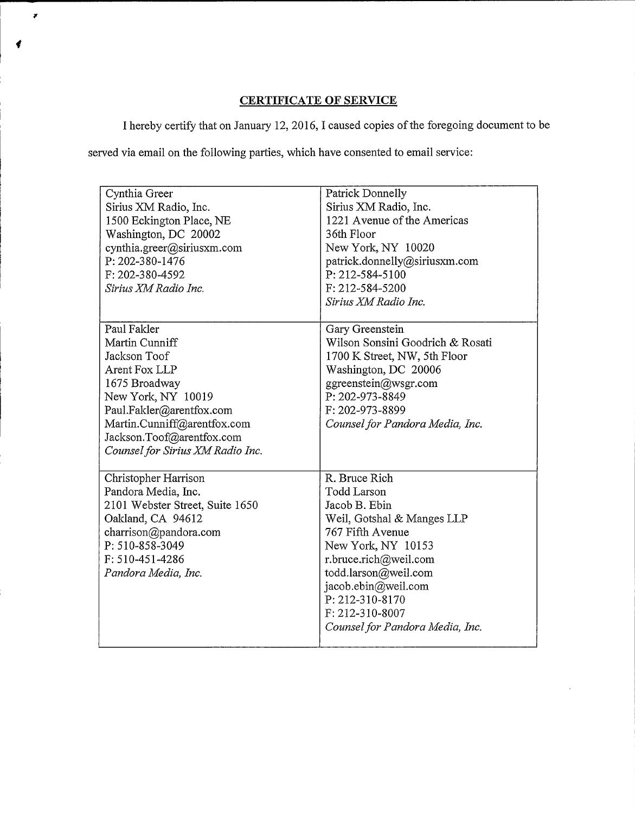# CERTIFICATE OF SERVICE

I hereby certify that on January 12, 2016, I caused copies ofthe foregoing document to be

served via email on the following parties, which have consented to email service:

 $\overline{r}$ 

| Cynthia Greer<br>Sirius XM Radio, Inc.<br>1500 Eckington Place, NE<br>Washington, DC 20002<br>cynthia.greer@siriusxm.com<br>P: 202-380-1476<br>F: 202-380-4592                                                                    | Patrick Donnelly<br>Sirius XM Radio, Inc.<br>1221 Avenue of the Americas<br>36th Floor<br>New York, NY 10020<br>patrick.donnelly@siriusxm.com<br>P: 212-584-5100                                                                                                              |
|-----------------------------------------------------------------------------------------------------------------------------------------------------------------------------------------------------------------------------------|-------------------------------------------------------------------------------------------------------------------------------------------------------------------------------------------------------------------------------------------------------------------------------|
| Sirius XM Radio Inc.                                                                                                                                                                                                              | F: 212-584-5200<br>Sirius XM Radio Inc.                                                                                                                                                                                                                                       |
| Paul Fakler<br>Martin Cunniff<br>Jackson Toof<br>Arent Fox LLP<br>1675 Broadway<br>New York, NY 10019<br>Paul.Fakler@arentfox.com<br>Martin.Cunniff@arentfox.com<br>Jackson.Toof@arentfox.com<br>Counsel for Sirius XM Radio Inc. | Gary Greenstein<br>Wilson Sonsini Goodrich & Rosati<br>1700 K Street, NW, 5th Floor<br>Washington, DC 20006<br>ggreenstein@wsgr.com<br>P: 202-973-8849<br>F: 202-973-8899<br>Counsel for Pandora Media, Inc.                                                                  |
| Christopher Harrison<br>Pandora Media, Inc.<br>2101 Webster Street, Suite 1650<br>Oakland, CA 94612<br>charrison@pandora.com<br>P: 510-858-3049<br>F: 510-451-4286<br>Pandora Media, Inc.                                         | R. Bruce Rich<br><b>Todd Larson</b><br>Jacob B. Ebin<br>Weil, Gotshal & Manges LLP<br>767 Fifth Avenue<br>New York, NY 10153<br>r.bruce.rich@weil.com<br>todd.larson@weil.com<br>jacob.ebin@weil.com<br>P: 212-310-8170<br>F: 212-310-8007<br>Counsel for Pandora Media, Inc. |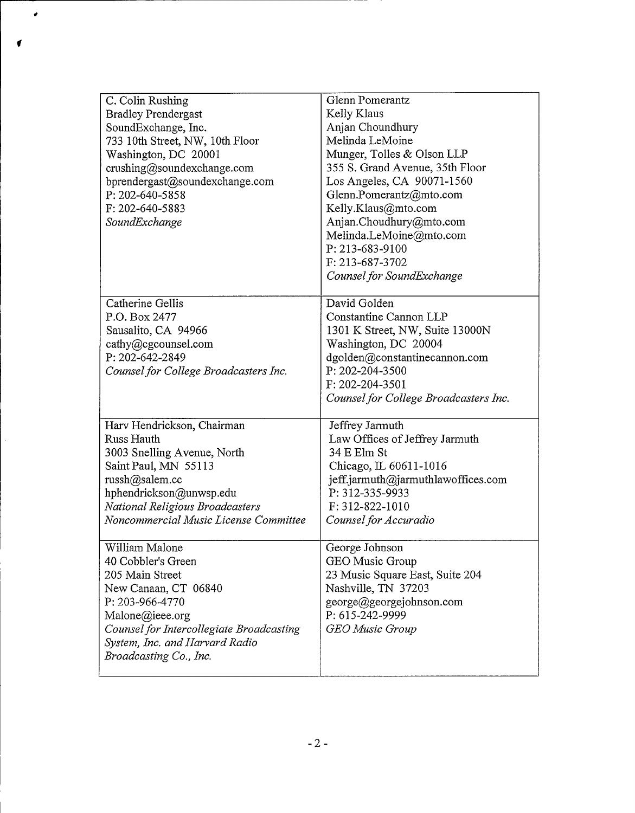| C. Colin Rushing<br><b>Bradley Prendergast</b><br>SoundExchange, Inc.<br>733 10th Street, NW, 10th Floor<br>Washington, DC 20001<br>crushing@soundexchange.com<br>bprendergast@soundexchange.com<br>P: 202-640-5858<br>F: 202-640-5883<br>SoundExchange | <b>Glenn Pomerantz</b><br>Kelly Klaus<br>Anjan Choundhury<br>Melinda LeMoine<br>Munger, Tolles & Olson LLP<br>355 S. Grand Avenue, 35th Floor<br>Los Angeles, CA 90071-1560<br>Glenn.Pomerantz@mto.com<br>Kelly.Klaus@mto.com<br>Anjan.Choudhury@mto.com<br>Melinda.LeMoine@mto.com<br>P: 213-683-9100 |
|---------------------------------------------------------------------------------------------------------------------------------------------------------------------------------------------------------------------------------------------------------|--------------------------------------------------------------------------------------------------------------------------------------------------------------------------------------------------------------------------------------------------------------------------------------------------------|
|                                                                                                                                                                                                                                                         | F: 213-687-3702<br>Counsel for SoundExchange                                                                                                                                                                                                                                                           |
| Catherine Gellis<br>P.O. Box 2477<br>Sausalito, CA 94966<br>cathy@cgcounsel.com<br>P: 202-642-2849<br>Counsel for College Broadcasters Inc.                                                                                                             | David Golden<br>Constantine Cannon LLP<br>1301 K Street, NW, Suite 13000N<br>Washington, DC 20004<br>dgolden@constantinecannon.com<br>P: 202-204-3500<br>F: 202-204-3501<br>Counsel for College Broadcasters Inc.                                                                                      |
| Harv Hendrickson, Chairman<br>Russ Hauth<br>3003 Snelling Avenue, North<br>Saint Paul, MN 55113<br>russh@salem.cc<br>hphendrickson@unwsp.edu<br>National Religious Broadcasters<br>Noncommercial Music License Committee                                | Jeffrey Jarmuth<br>Law Offices of Jeffrey Jarmuth<br>34 E Elm St<br>Chicago, IL 60611-1016<br>jeff.jarmuth@jarmuthlawoffices.com<br>P: 312-335-9933<br>F: 312-822-1010<br>Counsel for Accuradio                                                                                                        |
| William Malone<br>40 Cobbler's Green<br>205 Main Street<br>New Canaan, CT 06840<br>P: 203-966-4770<br>Malone@ieee.org<br>Counsel for Intercollegiate Broadcasting<br>System, Inc. and Harvard Radio<br>Broadcasting Co., Inc.                           | George Johnson<br>GEO Music Group<br>23 Music Square East, Suite 204<br>Nashville, TN 37203<br>george@georgejohnson.com<br>P: 615-242-9999<br><b>GEO</b> Music Group                                                                                                                                   |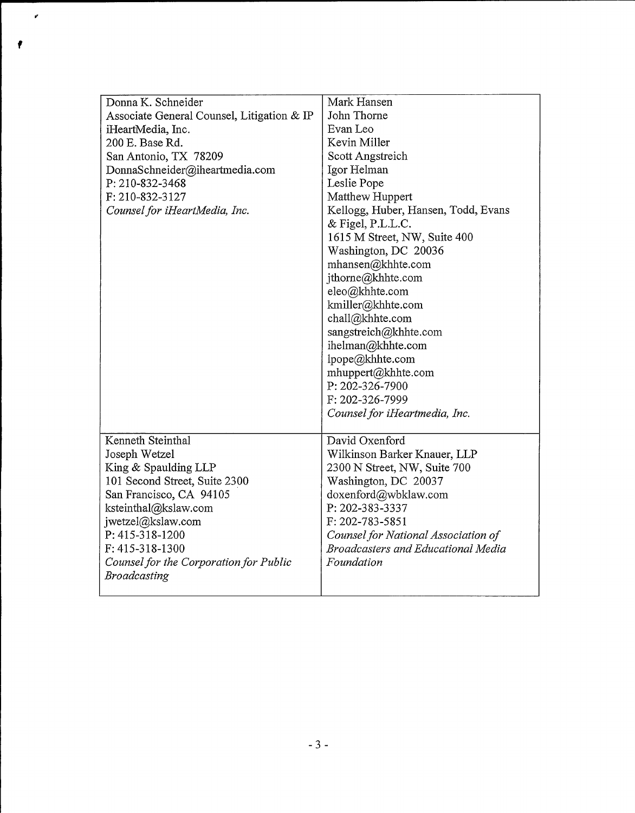| Donna K. Schneider                         | Mark Hansen                               |
|--------------------------------------------|-------------------------------------------|
| Associate General Counsel, Litigation & IP | John Thorne                               |
| iHeartMedia, Inc.                          | Evan Leo                                  |
| 200 E. Base Rd.                            | Kevin Miller                              |
| San Antonio, TX 78209                      | Scott Angstreich                          |
| DonnaSchneider@iheartmedia.com             | Igor Helman                               |
| P: 210-832-3468                            | Leslie Pope                               |
| F: 210-832-3127                            | Matthew Huppert                           |
| Counsel for iHeartMedia, Inc.              | Kellogg, Huber, Hansen, Todd, Evans       |
|                                            | $&$ Figel, P.L.L.C.                       |
|                                            | 1615 M Street, NW, Suite 400              |
|                                            | Washington, DC 20036                      |
|                                            | mhansen@khhte.com                         |
|                                            | jthorne@khhte.com                         |
|                                            | eleo@khhte.com                            |
|                                            | kmiller@khhte.com                         |
|                                            | chall@khhte.com                           |
|                                            | sangstreich@khhte.com                     |
|                                            | ihelman@khhte.com                         |
|                                            | lpope@khhte.com                           |
|                                            | mhuppert@khhte.com                        |
|                                            | P: 202-326-7900                           |
|                                            | F: 202-326-7999                           |
|                                            | Counsel for iHeartmedia, Inc.             |
| Kenneth Steinthal                          | David Oxenford                            |
| Joseph Wetzel                              | Wilkinson Barker Knauer, LLP              |
| King & Spaulding LLP                       | 2300 N Street, NW, Suite 700              |
| 101 Second Street, Suite 2300              | Washington, DC 20037                      |
| San Francisco, CA 94105                    | doxenford@wbklaw.com                      |
| ksteinthal@kslaw.com                       | P: 202-383-3337                           |
| jwetzel@kslaw.com                          | F: 202-783-5851                           |
| P: 415-318-1200                            | Counsel for National Association of       |
| F: 415-318-1300                            | <b>Broadcasters and Educational Media</b> |
| Counsel for the Corporation for Public     | Foundation                                |
| Broadcasting                               |                                           |
|                                            |                                           |

 $\mathbf{r}$ 

٠